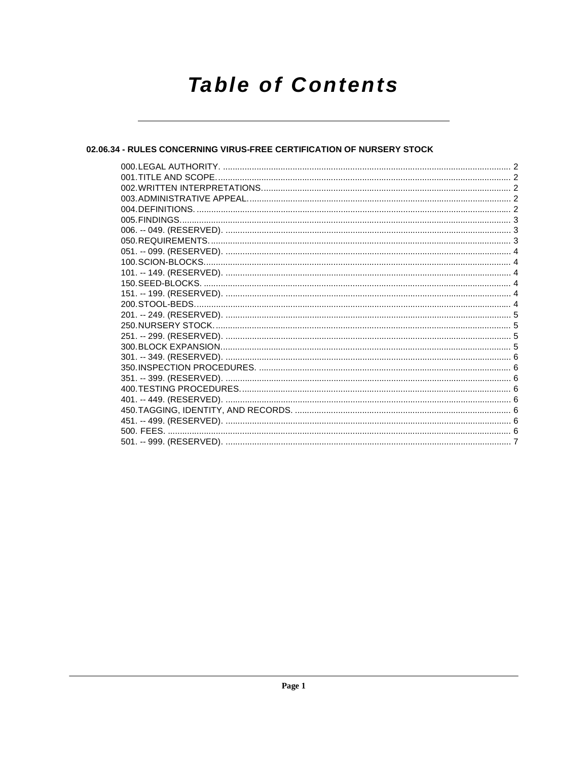# **Table of Contents**

### 02.06.34 - RULES CONCERNING VIRUS-FREE CERTIFICATION OF NURSERY STOCK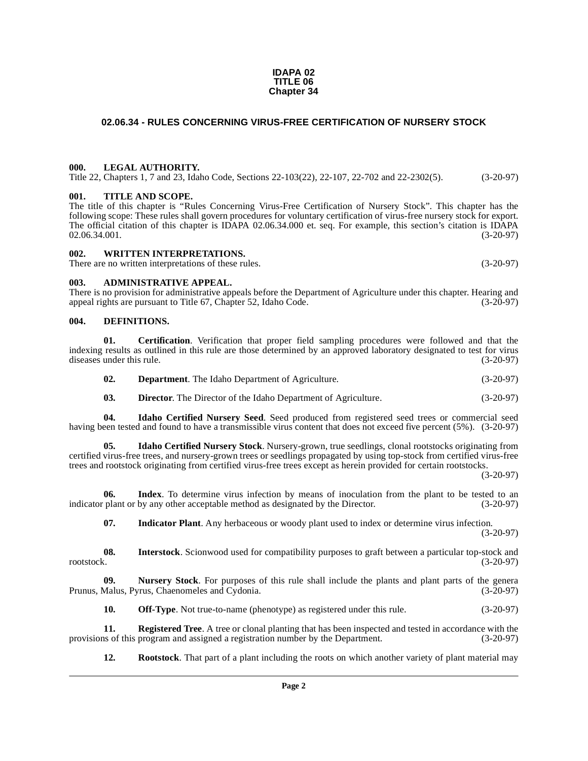#### **IDAPA 02 TITLE 06 Chapter 34**

### <span id="page-1-0"></span>**02.06.34 - RULES CONCERNING VIRUS-FREE CERTIFICATION OF NURSERY STOCK**

#### <span id="page-1-1"></span>**000. LEGAL AUTHORITY.**

Title 22, Chapters 1, 7 and 23, Idaho Code, Sections 22-103(22), 22-107, 22-702 and 22-2302(5). (3-20-97)

#### <span id="page-1-2"></span>**001. TITLE AND SCOPE.**

The title of this chapter is "Rules Concerning Virus-Free Certification of Nursery Stock". This chapter has the following scope: These rules shall govern procedures for voluntary certification of virus-free nursery stock for export. The official citation of this chapter is IDAPA 02.06.34.000 et. seq. For example, this section's citation is IDAPA 02.06.34.001.<br>(3-20-97)  $02.06.34.001.$  (3-20-97)

#### <span id="page-1-3"></span>**002. WRITTEN INTERPRETATIONS.**

There are no written interpretations of these rules. (3-20-97)

#### <span id="page-1-4"></span>**003. ADMINISTRATIVE APPEAL.**

There is no provision for administrative appeals before the Department of Agriculture under this chapter. Hearing and appeal rights are pursuant to Title 67, Chapter 52, Idaho Code. (3-20-97) appeal rights are pursuant to Title 67, Chapter 52, Idaho Code.

#### <span id="page-1-7"></span><span id="page-1-5"></span>**004. DEFINITIONS.**

**01. Certification**. Verification that proper field sampling procedures were followed and that the indexing results as outlined in this rule are those determined by an approved laboratory designated to test for virus diseases under this rule. (3-20-97) diseases under this rule.

<span id="page-1-9"></span><span id="page-1-8"></span><span id="page-1-6"></span>

| UZ. | <b>Department.</b> The Idaho Department of Agriculture. | $(3-20-97)$ |
|-----|---------------------------------------------------------|-------------|
|     |                                                         |             |

<span id="page-1-11"></span><span id="page-1-10"></span>**03. Director**. The Director of the Idaho Department of Agriculture. (3-20-97)

**04. Idaho Certified Nursery Seed**. Seed produced from registered seed trees or commercial seed having been tested and found to have a transmissible virus content that does not exceed five percent (5%). (3-20-97)

**05. Idaho Certified Nursery Stock**. Nursery-grown, true seedlings, clonal rootstocks originating from certified virus-free trees, and nursery-grown trees or seedlings propagated by using top-stock from certified virus-free trees and rootstock originating from certified virus-free trees except as herein provided for certain rootstocks.

(3-20-97)

**06. Index**. To determine virus infection by means of inoculation from the plant to be tested to an indicator plant or by any other acceptable method as designated by the Director. (3-20-97)

<span id="page-1-14"></span><span id="page-1-13"></span><span id="page-1-12"></span>**07. Indicator Plant**. Any herbaceous or woody plant used to index or determine virus infection. (3-20-97)

**08.** Interstock. Scionwood used for compatibility purposes to graft between a particular top-stock and rootstock. (3-20-97) rootstock. (3-20-97)

**09.** Nursery Stock. For purposes of this rule shall include the plants and plant parts of the genera Malus, Pyrus, Chaenomeles and Cydonia. (3-20-97) Prunus, Malus, Pyrus, Chaenomeles and Cydonia.

<span id="page-1-17"></span><span id="page-1-16"></span><span id="page-1-15"></span>**10. Off-Type**. Not true-to-name (phenotype) as registered under this rule.  $(3-20-97)$ 

**11. Registered Tree**. A tree or clonal planting that has been inspected and tested in accordance with the provisions of this program and assigned a registration number by the Department. (3-20-97)

<span id="page-1-18"></span>**12. Rootstock**. That part of a plant including the roots on which another variety of plant material may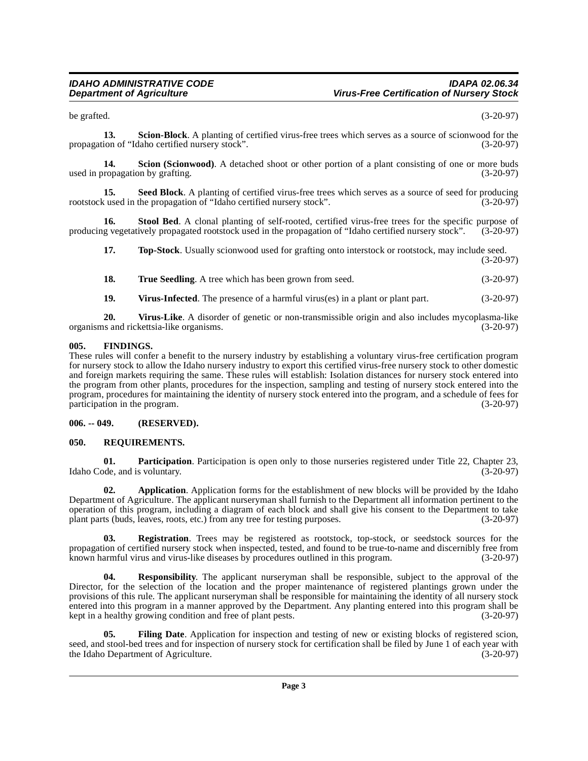<span id="page-2-11"></span>be grafted.  $(3-20-97)$ 

**13.** Scion-Block. A planting of certified virus-free trees which serves as a source of scionwood for the ion of "Idaho certified nursery stock". propagation of "Idaho certified nursery stock".

<span id="page-2-10"></span>**14. Scion (Scionwood)**. A detached shoot or other portion of a plant consisting of one or more buds ropagation by grafting. (3-20-97) used in propagation by grafting.

<span id="page-2-12"></span>**15.** Seed Block. A planting of certified virus-free trees which serves as a source of seed for producing cused in the propagation of "Idaho certified nursery stock". (3-20-97) rootstock used in the propagation of "Idaho certified nursery stock".

**16.** Stool Bed. A clonal planting of self-rooted, certified virus-free trees for the specific purpose of g vegetatively propagated rootstock used in the propagation of "Idaho certified nursery stock". (3-20-97) producing vegetatively propagated rootstock used in the propagation of "Idaho certified nursery stock".

<span id="page-2-14"></span><span id="page-2-13"></span>**17. 17. 10. Top-Stock**. Usually scionwood used for grafting onto interstock or rootstock, may include seed. (3-20-97)

<span id="page-2-16"></span><span id="page-2-15"></span>

| 18. | <b>True Seedling.</b> A tree which has been grown from seed. | $(3-20-97)$ |
|-----|--------------------------------------------------------------|-------------|
|     |                                                              |             |

<span id="page-2-17"></span>**19.** Virus-Infected. The presence of a harmful virus(es) in a plant or plant part. (3-20-97)

**20. Virus-Like**. A disorder of genetic or non-transmissible origin and also includes mycoplasma-like is and rickettsia-like organisms. organisms and rickettsia-like organisms.

#### <span id="page-2-5"></span><span id="page-2-0"></span>**005. FINDINGS.**

These rules will confer a benefit to the nursery industry by establishing a voluntary virus-free certification program for nursery stock to allow the Idaho nursery industry to export this certified virus-free nursery stock to other domestic and foreign markets requiring the same. These rules will establish: Isolation distances for nursery stock entered into the program from other plants, procedures for the inspection, sampling and testing of nursery stock entered into the program, procedures for maintaining the identity of nursery stock entered into the program, and a schedule of fees for participation in the program. (3-20-97)

#### <span id="page-2-1"></span>**006. -- 049. (RESERVED).**

#### <span id="page-2-8"></span><span id="page-2-2"></span>**050. REQUIREMENTS.**

<span id="page-2-6"></span>**01. Participation**. Participation is open only to those nurseries registered under Title 22, Chapter 23, de, and is voluntary. (3-20-97) Idaho Code, and is voluntary.

<span id="page-2-3"></span>**02. Application**. Application forms for the establishment of new blocks will be provided by the Idaho Department of Agriculture. The applicant nurseryman shall furnish to the Department all information pertinent to the operation of this program, including a diagram of each block and shall give his consent to the Department to take plant parts (buds, leaves, roots, etc.) from any tree for testing purposes. (3-20-97)

<span id="page-2-7"></span>**03. Registration**. Trees may be registered as rootstock, top-stock, or seedstock sources for the propagation of certified nursery stock when inspected, tested, and found to be true-to-name and discernibly free from known harmful virus and virus-like diseases by procedures outlined in this program. (3-20-97)

<span id="page-2-9"></span>**04. Responsibility**. The applicant nurseryman shall be responsible, subject to the approval of the Director, for the selection of the location and the proper maintenance of registered plantings grown under the provisions of this rule. The applicant nurseryman shall be responsible for maintaining the identity of all nursery stock entered into this program in a manner approved by the Department. Any planting entered into this program shall be kept in a healthy growing condition and free of plant pests. (3-20-97)

<span id="page-2-4"></span>**05.** Filing Date. Application for inspection and testing of new or existing blocks of registered scion, seed, and stool-bed trees and for inspection of nursery stock for certification shall be filed by June 1 of each year with the Idaho Department of Agriculture. (3-20-97) the Idaho Department of Agriculture.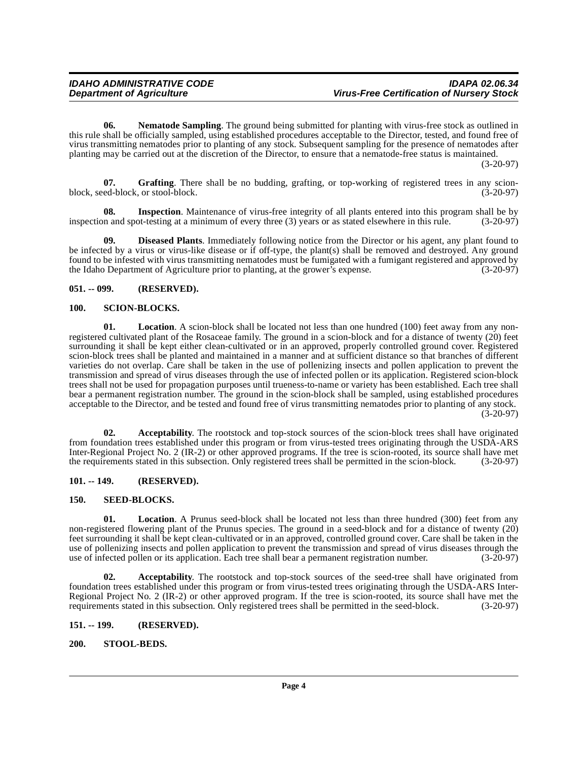<span id="page-3-13"></span>**06. Nematode Sampling**. The ground being submitted for planting with virus-free stock as outlined in this rule shall be officially sampled, using established procedures acceptable to the Director, tested, and found free of virus transmitting nematodes prior to planting of any stock. Subsequent sampling for the presence of nematodes after planting may be carried out at the discretion of the Director, to ensure that a nematode-free status is maintained.

(3-20-97)

<span id="page-3-9"></span>**07.** Grafting. There shall be no budding, grafting, or top-working of registered trees in any scion-<br>ed-block, or stool-block. (3-20-97) block, seed-block, or stool-block.

<span id="page-3-10"></span>**08.** Inspection. Maintenance of virus-free integrity of all plants entered into this program shall be by on and spot-testing at a minimum of every three (3) years or as stated elsewhere in this rule. (3-20-97) inspection and spot-testing at a minimum of every three (3) years or as stated elsewhere in this rule.

<span id="page-3-8"></span>**09. Diseased Plants**. Immediately following notice from the Director or his agent, any plant found to be infected by a virus or virus-like disease or if off-type, the plant(s) shall be removed and destroyed. Any ground found to be infested with virus transmitting nematodes must be fumigated with a fumigant registered and approved by the Idaho Department of Agriculture prior to planting, at the grower's expense. (3-20-97) the Idaho Department of Agriculture prior to planting, at the grower's expense.

#### <span id="page-3-0"></span>**051. -- 099. (RESERVED).**

#### <span id="page-3-14"></span><span id="page-3-1"></span>**100. SCION-BLOCKS.**

<span id="page-3-11"></span>**01. Location**. A scion-block shall be located not less than one hundred (100) feet away from any nonregistered cultivated plant of the Rosaceae family. The ground in a scion-block and for a distance of twenty (20) feet surrounding it shall be kept either clean-cultivated or in an approved, properly controlled ground cover. Registered scion-block trees shall be planted and maintained in a manner and at sufficient distance so that branches of different varieties do not overlap. Care shall be taken in the use of pollenizing insects and pollen application to prevent the transmission and spread of virus diseases through the use of infected pollen or its application. Registered scion-block trees shall not be used for propagation purposes until trueness-to-name or variety has been established. Each tree shall bear a permanent registration number. The ground in the scion-block shall be sampled, using established procedures acceptable to the Director, and be tested and found free of virus transmitting nematodes prior to planting of any stock. (3-20-97)

<span id="page-3-6"></span>**02. Acceptability**. The rootstock and top-stock sources of the scion-block trees shall have originated from foundation trees established under this program or from virus-tested trees originating through the USDA-ARS Inter-Regional Project No. 2 (IR-2) or other approved programs. If the tree is scion-rooted, its source shall have met the requirements stated in this subsection. Only registered trees shall be permitted in the scion-block. (3-20-97)

#### <span id="page-3-2"></span>**101. -- 149. (RESERVED).**

#### <span id="page-3-15"></span><span id="page-3-3"></span>**150. SEED-BLOCKS.**

<span id="page-3-12"></span>**01. Location**. A Prunus seed-block shall be located not less than three hundred (300) feet from any non-registered flowering plant of the Prunus species. The ground in a seed-block and for a distance of twenty (20) feet surrounding it shall be kept clean-cultivated or in an approved, controlled ground cover. Care shall be taken in the use of pollenizing insects and pollen application to prevent the transmission and spread of virus diseases through the use of infected pollen or its application. Each tree shall bear a permanent registration number. (3-20-97)

<span id="page-3-7"></span>**02. Acceptability**. The rootstock and top-stock sources of the seed-tree shall have originated from foundation trees established under this program or from virus-tested trees originating through the USDA-ARS Inter-Regional Project No. 2 (IR-2) or other approved program. If the tree is scion-rooted, its source shall have met the requirements stated in this subsection. Only registered trees shall be permitted in the seed-block. (3-20-97)

#### <span id="page-3-4"></span>**151. -- 199. (RESERVED).**

#### <span id="page-3-16"></span><span id="page-3-5"></span>**200. STOOL-BEDS.**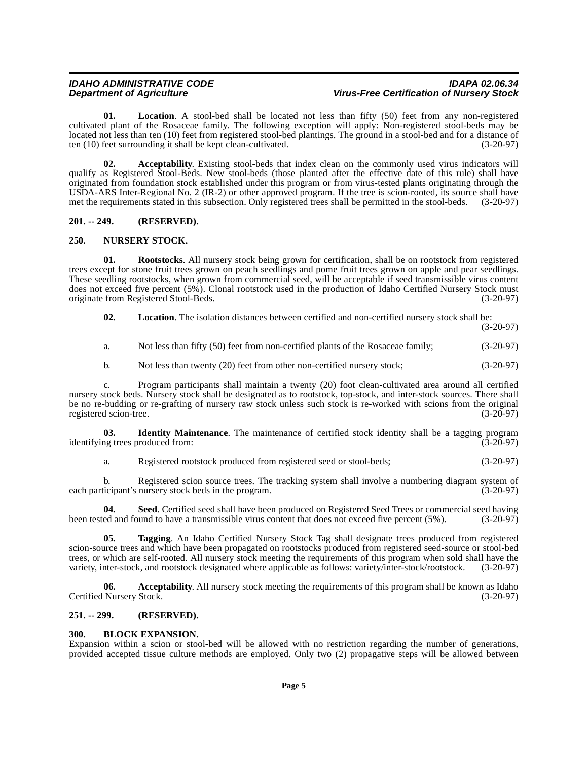<span id="page-4-9"></span>**01. Location**. A stool-bed shall be located not less than fifty (50) feet from any non-registered cultivated plant of the Rosaceae family. The following exception will apply: Non-registered stool-beds may be located not less than ten (10) feet from registered stool-bed plantings. The ground in a stool-bed and for a distance of ten (10) feet surrounding it shall be kept clean-cultivated. (3-20-97)

<span id="page-4-5"></span>**02. Acceptability**. Existing stool-beds that index clean on the commonly used virus indicators will qualify as Registered Stool-Beds. New stool-beds (those planted after the effective date of this rule) shall have originated from foundation stock established under this program or from virus-tested plants originating through the USDA-ARS Inter-Regional No. 2 (IR-2) or other approved program. If the tree is scion-rooted, its source shall have met the requirements stated in this subsection. Only registered trees shall be permitted in the stool-beds. (3-20-97)

#### <span id="page-4-0"></span>**201. -- 249. (RESERVED).**

### <span id="page-4-10"></span><span id="page-4-1"></span>**250. NURSERY STOCK.**

<span id="page-4-11"></span>**01. Rootstocks**. All nursery stock being grown for certification, shall be on rootstock from registered trees except for stone fruit trees grown on peach seedlings and pome fruit trees grown on apple and pear seedlings. These seedling rootstocks, when grown from commercial seed, will be acceptable if seed transmissible virus content does not exceed five percent (5%). Clonal rootstock used in the production of Idaho Certified Nursery Stock must originate from Registered Stool-Beds. (3-20-97)

<span id="page-4-8"></span>**02. Location**. The isolation distances between certified and non-certified nursery stock shall be:

(3-20-97)

- a. Not less than fifty (50) feet from non-certified plants of the Rosaceae family; (3-20-97)
- b. Not less than twenty (20) feet from other non-certified nursery stock; (3-20-97)

c. Program participants shall maintain a twenty (20) foot clean-cultivated area around all certified nursery stock beds. Nursery stock shall be designated as to rootstock, top-stock, and inter-stock sources. There shall be no re-budding or re-grafting of nursery raw stock unless such stock is re-worked with scions from the original registered scion-tree. (3-20-97) registered scion-tree.

**03. Identity Maintenance**. The maintenance of certified stock identity shall be a tagging program ing trees produced from: (3-20-97) identifying trees produced from:

<span id="page-4-12"></span><span id="page-4-7"></span>a. Registered rootstock produced from registered seed or stool-beds; (3-20-97)

b. Registered scion source trees. The tracking system shall involve a numbering diagram system of ticipant's nursery stock beds in the program. each participant's nursery stock beds in the program.

**04. Seed**. Certified seed shall have been produced on Registered Seed Trees or commercial seed having been tested and found to have a transmissible virus content that does not exceed five percent (5%). (3-20-97)

<span id="page-4-13"></span>**05. Tagging**. An Idaho Certified Nursery Stock Tag shall designate trees produced from registered scion-source trees and which have been propagated on rootstocks produced from registered seed-source or stool-bed trees, or which are self-rooted. All nursery stock meeting the requirements of this program when sold shall have the variety, inter-stock, and rootstock designated where applicable as follows: variety/inter-stock/rootstock. (3-20-97)

<span id="page-4-4"></span>**06.** Acceptability. All nursery stock meeting the requirements of this program shall be known as Idaho Nursery Stock. (3-20-97) Certified Nursery Stock.

#### <span id="page-4-2"></span>**251. -- 299. (RESERVED).**

#### <span id="page-4-6"></span><span id="page-4-3"></span>**300. BLOCK EXPANSION.**

Expansion within a scion or stool-bed will be allowed with no restriction regarding the number of generations, provided accepted tissue culture methods are employed. Only two (2) propagative steps will be allowed between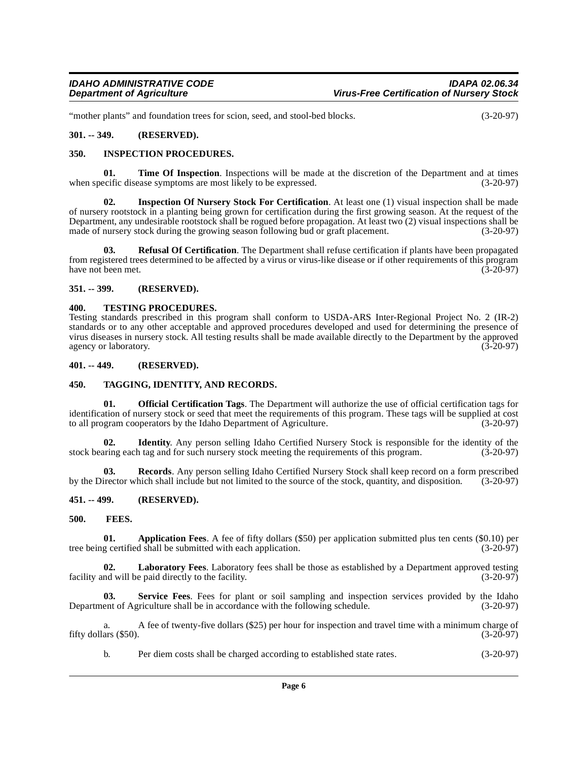"mother plants" and foundation trees for scion, seed, and stool-bed blocks. (3-20-97)

#### <span id="page-5-0"></span>**301. -- 349. (RESERVED).**

#### <span id="page-5-12"></span><span id="page-5-1"></span>**350. INSPECTION PROCEDURES.**

<span id="page-5-20"></span>**01. Time Of Inspection**. Inspections will be made at the discretion of the Department and at times ecific disease symptoms are most likely to be expressed. (3-20-97) when specific disease symptoms are most likely to be expressed.

<span id="page-5-11"></span>**02. Inspection Of Nursery Stock For Certification**. At least one (1) visual inspection shall be made of nursery rootstock in a planting being grown for certification during the first growing season. At the request of the Department, any undesirable rootstock shall be rogued before propagation. At least two (2) visual inspections shall be made of nursery stock during the growing season following bud or graft placement. (3-20-97) made of nursery stock during the growing season following bud or graft placement.

<span id="page-5-16"></span>**03. Refusal Of Certification**. The Department shall refuse certification if plants have been propagated from registered trees determined to be affected by a virus or virus-like disease or if other requirements of this program<br>(3-20-97) have not been met.

#### <span id="page-5-2"></span>**351. -- 399. (RESERVED).**

#### <span id="page-5-19"></span><span id="page-5-3"></span>**400. TESTING PROCEDURES.**

Testing standards prescribed in this program shall conform to USDA-ARS Inter-Regional Project No. 2 (IR-2) standards or to any other acceptable and approved procedures developed and used for determining the presence of virus diseases in nursery stock. All testing results shall be made available directly to the Department by the approved agency or laboratory. (3-20-97)

#### <span id="page-5-4"></span>**401. -- 449. (RESERVED).**

#### <span id="page-5-18"></span><span id="page-5-5"></span>**450. TAGGING, IDENTITY, AND RECORDS.**

<span id="page-5-14"></span>**01. Official Certification Tags**. The Department will authorize the use of official certification tags for identification of nursery stock or seed that meet the requirements of this program. These tags will be supplied at cost to all program cooperators by the Idaho Department of Agriculture. (3-20-97)

<span id="page-5-10"></span>**02. Identity**. Any person selling Idaho Certified Nursery Stock is responsible for the identity of the stock bearing each tag and for such nursery stock meeting the requirements of this program. (3-20-97)

<span id="page-5-15"></span>**03. Records**. Any person selling Idaho Certified Nursery Stock shall keep record on a form prescribed by the Director which shall include but not limited to the source of the stock, quantity, and disposition. (3-20-97)

#### <span id="page-5-6"></span>**451. -- 499. (RESERVED).**

#### <span id="page-5-9"></span><span id="page-5-7"></span>**500. FEES.**

<span id="page-5-8"></span>**01. Application Fees**. A fee of fifty dollars (\$50) per application submitted plus ten cents (\$0.10) per g certified shall be submitted with each application. (3-20-97) tree being certified shall be submitted with each application.

<span id="page-5-13"></span>**Laboratory Fees**. Laboratory fees shall be those as established by a Department approved testing e paid directly to the facility. (3-20-97) facility and will be paid directly to the facility.

<span id="page-5-17"></span>**03. Service Fees**. Fees for plant or soil sampling and inspection services provided by the Idaho Department of Agriculture shall be in accordance with the following schedule. (3-20-97)

a. A fee of twenty-five dollars (\$25) per hour for inspection and travel time with a minimum charge of ars (\$50). (3-20-97) fifty dollars  $(\$50)$ .

b. Per diem costs shall be charged according to established state rates. (3-20-97)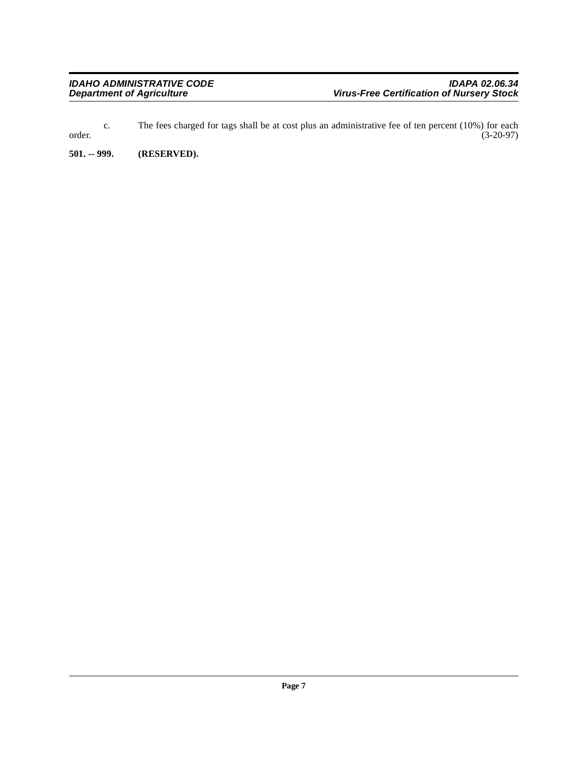c. The fees charged for tags shall be at cost plus an administrative fee of ten percent (10%) for each order. (3-20-97)

<span id="page-6-0"></span>**501. -- 999. (RESERVED).**